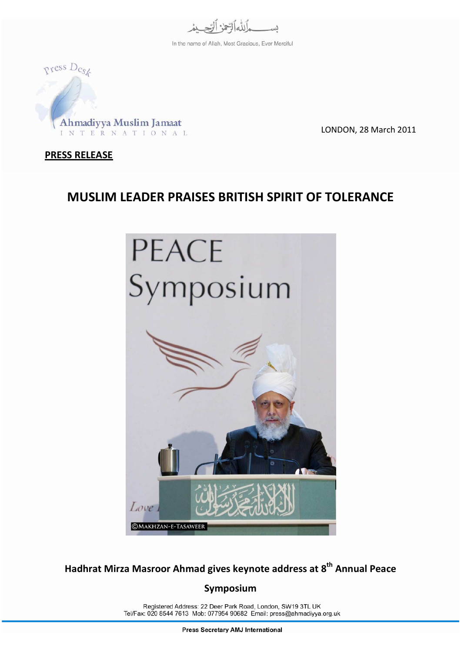

In the name of Allah, Most Gracious, Ever Merciful



LONDON, 28 March 2011

## PRESS RELEASE

## MUSLIM LEADER PRAISES BRITISH SPIRIT OF TOLERANCE



Hadhrat Mirza Masroor Ahmad gives keynote address at 8<sup>th</sup> Annual Peace

## Symposium

Registered Address: 22 Deer Park Road, London, SW19 3TL UK Tel/Fax: 020 8544 7613 Mob: 077954 90682 Email: press@ahmadiyya.org.uk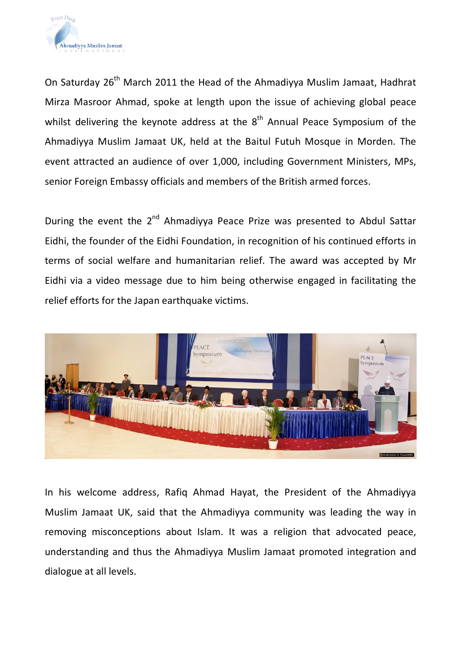

On Saturday 26<sup>th</sup> March 2011 the Head of the Ahmadiyya Muslim Jamaat, Hadhrat Mirza Masroor Ahmad, spoke at length upon the issue of achieving global peace whilst delivering the keynote address at the  $8<sup>th</sup>$  Annual Peace Symposium of the Ahmadiyya Muslim Jamaat UK, held at the Baitul Futuh Mosque in Morden. The event attracted an audience of over 1,000, including Government Ministers, MPs, senior Foreign Embassy officials and members of the British armed forces.

During the event the 2<sup>nd</sup> Ahmadiyya Peace Prize was presented to Abdul Sattar Eidhi, the founder of the Eidhi Foundation, in recognition of his continued efforts in terms of social welfare and humanitarian relief. The award was accepted by Mr Eidhi via a video message due to him being otherwise engaged in facilitating the relief efforts for the Japan earthquake victims.



In his welcome address, Rafiq Ahmad Hayat, the President of the Ahmadiyya Muslim Jamaat UK, said that the Ahmadiyya community was leading the way in removing misconceptions about Islam. It was a religion that advocated peace, understanding and thus the Ahmadiyya Muslim Jamaat promoted integration and dialogue at all levels.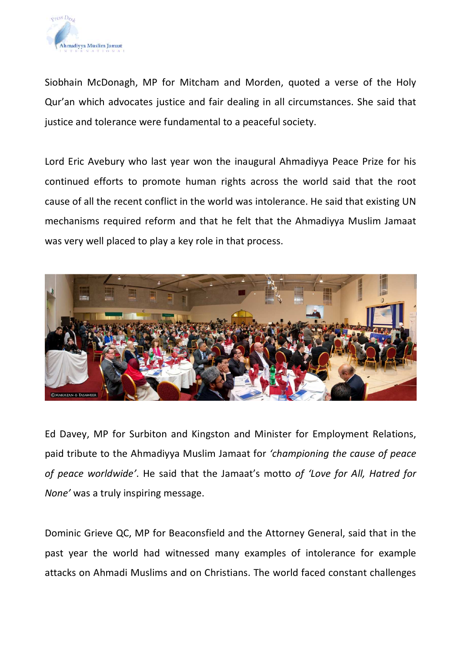

Siobhain McDonagh, MP for Mitcham and Morden, quoted a verse of the Holy Qur'an which advocates justice and fair dealing in all circumstances. She said that justice and tolerance were fundamental to a peaceful society.

Lord Eric Avebury who last year won the inaugural Ahmadiyya Peace Prize for his continued efforts to promote human rights across the world said that the root cause of all the recent conflict in the world was intolerance. He said that existing UN mechanisms required reform and that he felt that the Ahmadiyya Muslim Jamaat was very well placed to play a key role in that process.



Ed Davey, MP for Surbiton and Kingston and Minister for Employment Relations, paid tribute to the Ahmadiyya Muslim Jamaat for 'championing the cause of peace of peace worldwide'. He said that the Jamaat's motto of 'Love for All, Hatred for None' was a truly inspiring message.

Dominic Grieve QC, MP for Beaconsfield and the Attorney General, said that in the past year the world had witnessed many examples of intolerance for example attacks on Ahmadi Muslims and on Christians. The world faced constant challenges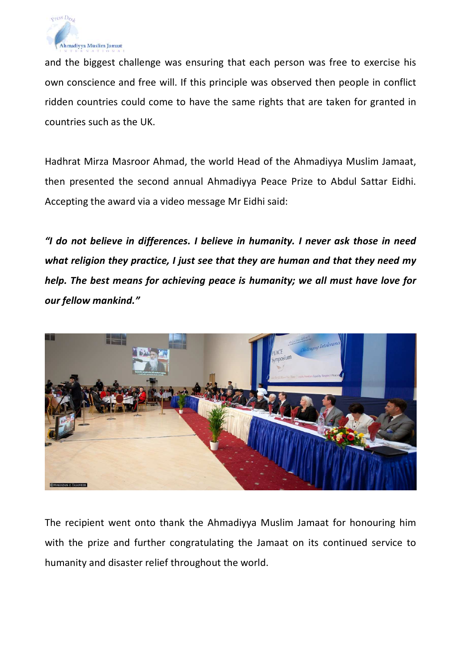

and the biggest challenge was ensuring that each person was free to exercise his own conscience and free will. If this principle was observed then people in conflict ridden countries could come to have the same rights that are taken for granted in countries such as the UK.

Hadhrat Mirza Masroor Ahmad, the world Head of the Ahmadiyya Muslim Jamaat, then presented the second annual Ahmadiyya Peace Prize to Abdul Sattar Eidhi. Accepting the award via a video message Mr Eidhi said:

"I do not believe in differences. I believe in humanity. I never ask those in need what religion they practice, I just see that they are human and that they need my help. The best means for achieving peace is humanity; we all must have love for our fellow mankind."



The recipient went onto thank the Ahmadiyya Muslim Jamaat for honouring him with the prize and further congratulating the Jamaat on its continued service to humanity and disaster relief throughout the world.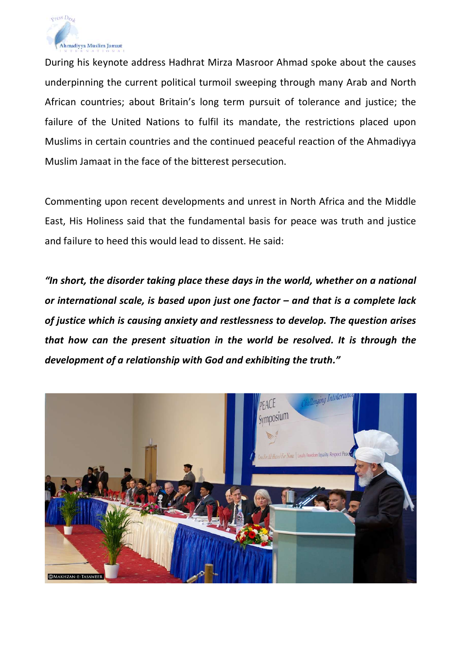

During his keynote address Hadhrat Mirza Masroor Ahmad spoke about the causes underpinning the current political turmoil sweeping through many Arab and North African countries; about Britain's long term pursuit of tolerance and justice; the failure of the United Nations to fulfil its mandate, the restrictions placed upon Muslims in certain countries and the continued peaceful reaction of the Ahmadiyya Muslim Jamaat in the face of the bitterest persecution.

Commenting upon recent developments and unrest in North Africa and the Middle East, His Holiness said that the fundamental basis for peace was truth and justice and failure to heed this would lead to dissent. He said:

"In short, the disorder taking place these days in the world, whether on a national or international scale, is based upon just one factor – and that is a complete lack of justice which is causing anxiety and restlessness to develop. The question arises that how can the present situation in the world be resolved. It is through the development of a relationship with God and exhibiting the truth."

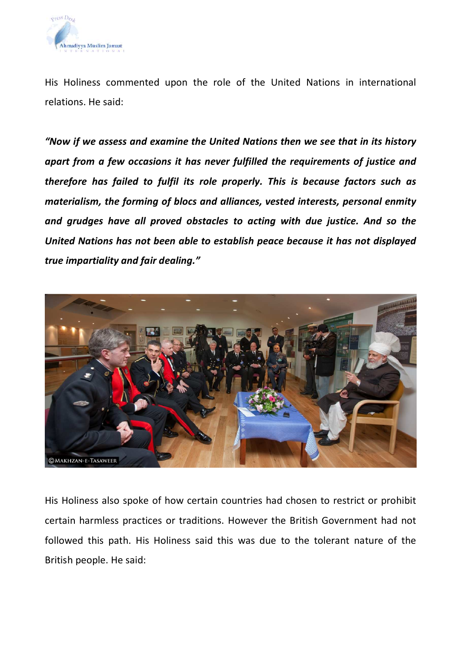

His Holiness commented upon the role of the United Nations in international relations. He said:

"Now if we assess and examine the United Nations then we see that in its history apart from a few occasions it has never fulfilled the requirements of justice and therefore has failed to fulfil its role properly. This is because factors such as materialism, the forming of blocs and alliances, vested interests, personal enmity and grudges have all proved obstacles to acting with due justice. And so the United Nations has not been able to establish peace because it has not displayed true impartiality and fair dealing."



His Holiness also spoke of how certain countries had chosen to restrict or prohibit certain harmless practices or traditions. However the British Government had not followed this path. His Holiness said this was due to the tolerant nature of the British people. He said: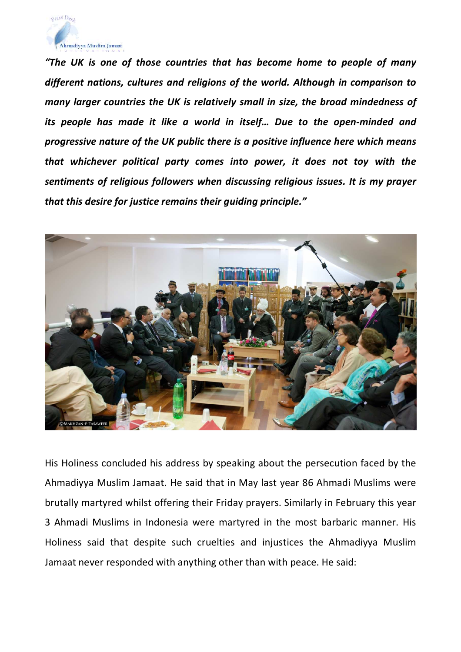

"The UK is one of those countries that has become home to people of many different nations, cultures and religions of the world. Although in comparison to many larger countries the UK is relatively small in size, the broad mindedness of its people has made it like a world in itself… Due to the open-minded and progressive nature of the UK public there is a positive influence here which means that whichever political party comes into power, it does not toy with the sentiments of religious followers when discussing religious issues. It is my prayer that this desire for justice remains their guiding principle."



His Holiness concluded his address by speaking about the persecution faced by the Ahmadiyya Muslim Jamaat. He said that in May last year 86 Ahmadi Muslims were brutally martyred whilst offering their Friday prayers. Similarly in February this year 3 Ahmadi Muslims in Indonesia were martyred in the most barbaric manner. His Holiness said that despite such cruelties and injustices the Ahmadiyya Muslim Jamaat never responded with anything other than with peace. He said: